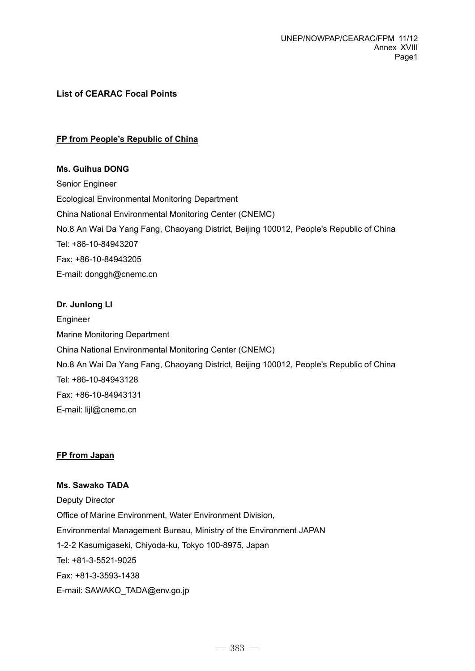# **List of CEARAC Focal Points**

### **FP from People's Republic of China**

### **Ms. Guihua DONG**

Senior Engineer Ecological Environmental Monitoring Department China National Environmental Monitoring Center (CNEMC) No.8 An Wai Da Yang Fang, Chaoyang District, Beijing 100012, People's Republic of China Tel: +86-10-84943207 Fax: +86-10-84943205 E-mail: donggh@cnemc.cn

#### **Dr. Junlong LI**

Engineer Marine Monitoring Department China National Environmental Monitoring Center (CNEMC) No.8 An Wai Da Yang Fang, Chaoyang District, Beijing 100012, People's Republic of China Tel: +86-10-84943128 Fax: +86-10-84943131 E-mail: lijl@cnemc.cn

#### **FP from Japan**

#### **Ms. Sawako TADA**

Deputy Director Office of Marine Environment, Water Environment Division, Environmental Management Bureau, Ministry of the Environment JAPAN 1-2-2 Kasumigaseki, Chiyoda-ku, Tokyo 100-8975, Japan Tel: +81-3-5521-9025 Fax: +81-3-3593-1438 E-mail: SAWAKO\_TADA@env.go.jp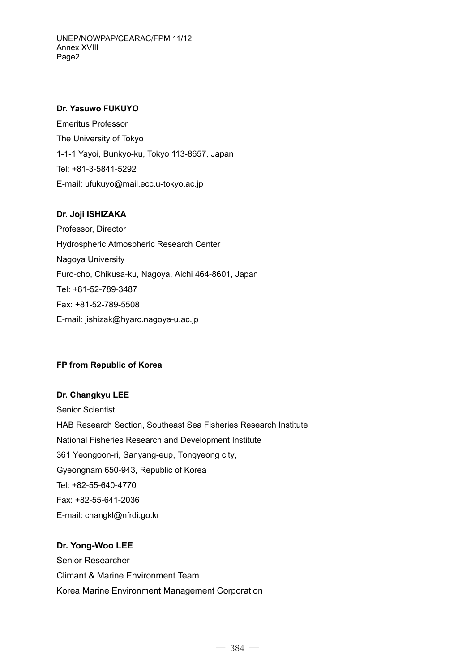#### **Dr. Yasuwo FUKUYO**

Emeritus Professor The University of Tokyo 1-1-1 Yayoi, Bunkyo-ku, Tokyo 113-8657, Japan Tel: +81-3-5841-5292 E-mail: ufukuyo@mail.ecc.u-tokyo.ac.jp

## **Dr. Joji ISHIZAKA**

Professor, Director Hydrospheric Atmospheric Research Center Nagoya University Furo-cho, Chikusa-ku, Nagoya, Aichi 464-8601, Japan Tel: +81-52-789-3487 Fax: +81-52-789-5508 E-mail: jishizak@hyarc.nagoya-u.ac.jp

## **FP from Republic of Korea**

#### **Dr. Changkyu LEE**

Senior Scientist HAB Research Section, Southeast Sea Fisheries Research Institute National Fisheries Research and Development Institute 361 Yeongoon-ri, Sanyang-eup, Tongyeong city, Gyeongnam 650-943, Republic of Korea Tel: +82-55-640-4770 Fax: +82-55-641-2036 E-mail: changkl@nfrdi.go.kr

# **Dr. Yong-Woo LEE**

Senior Researcher Climant & Marine Environment Team Korea Marine Environment Management Corporation